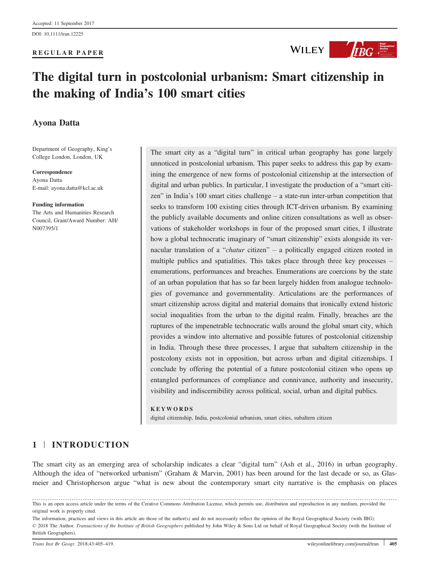DOI: 10.1111/tran.12225

#### REGULAR PAPER



# The digital turn in postcolonial urbanism: Smart citizenship in the making of India's 100 smart cities

# Ayona Datta

Department of Geography, King's College London, London, UK

Correspondence Ayona Datta E-mail: ayona.datta@kcl.ac.uk

Funding information The Arts and Humanities Research Council, Grant/Award Number: AH/ N007395/1

The smart city as a "digital turn" in critical urban geography has gone largely unnoticed in postcolonial urbanism. This paper seeks to address this gap by examining the emergence of new forms of postcolonial citizenship at the intersection of digital and urban publics. In particular, I investigate the production of a "smart citizen" in India's 100 smart cities challenge – a state-run inter-urban competition that seeks to transform 100 existing cities through ICT-driven urbanism. By examining the publicly available documents and online citizen consultations as well as observations of stakeholder workshops in four of the proposed smart cities, I illustrate how a global technocratic imaginary of "smart citizenship" exists alongside its vernacular translation of a "*chatur* citizen" – a politically engaged citizen rooted in multiple publics and spatialities. This takes place through three key processes – enumerations, performances and breaches. Enumerations are coercions by the state of an urban population that has so far been largely hidden from analogue technologies of governance and governmentality. Articulations are the performances of smart citizenship across digital and material domains that ironically extend historic social inequalities from the urban to the digital realm. Finally, breaches are the ruptures of the impenetrable technocratic walls around the global smart city, which provides a window into alternative and possible futures of postcolonial citizenship in India. Through these three processes, I argue that subaltern citizenship in the postcolony exists not in opposition, but across urban and digital citizenships. I conclude by offering the potential of a future postcolonial citizen who opens up entangled performances of compliance and connivance, authority and insecurity, visibility and indiscernibility across political, social, urban and digital publics.

#### KEYWORDS

digital citizenship, India, postcolonial urbanism, smart cities, subaltern citizen

# 1 | INTRODUCTION

The smart city as an emerging area of scholarship indicates a clear "digital turn" (Ash et al., 2016) in urban geography. Although the idea of "networked urbanism" (Graham & Marvin, 2001) has been around for the last decade or so, as Glasmeier and Christopherson argue "what is new about the contemporary smart city narrative is the emphasis on places

This is an open access article under the terms of the [Creative Commons Attribution](http://creativecommons.org/licenses/by/4.0/) License, which permits use, distribution and reproduction in any medium, provided the original work is properly cited.

The information, practices and views in this article are those of the author(s) and do not necessarily reflect the opinion of the Royal Geographical Society (with IBG). © 2018 The Author. Transactions of the Institute of British Geographers published by John Wiley & Sons Ltd on behalf of Royal Geographical Society (with the Institute of British Geographers).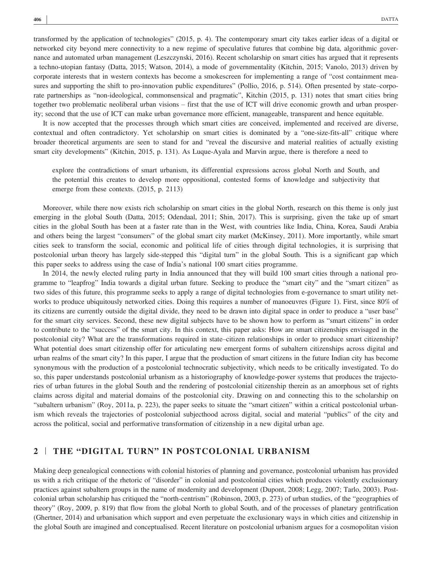transformed by the application of technologies" (2015, p. 4). The contemporary smart city takes earlier ideas of a digital or networked city beyond mere connectivity to a new regime of speculative futures that combine big data, algorithmic governance and automated urban management (Leszczynski, 2016). Recent scholarship on smart cities has argued that it represents a techno-utopian fantasy (Datta, 2015; Watson, 2014), a mode of governmentality (Kitchin, 2015; Vanolo, 2013) driven by corporate interests that in western contexts has become a smokescreen for implementing a range of "cost containment measures and supporting the shift to pro-innovation public expenditures" (Pollio, 2016, p. 514). Often presented by state–corporate partnerships as "non-ideological, commonsensical and pragmatic", Kitchin (2015, p. 131) notes that smart cities bring together two problematic neoliberal urban visions – first that the use of ICT will drive economic growth and urban prosperity; second that the use of ICT can make urban governance more efficient, manageable, transparent and hence equitable.

It is now accepted that the processes through which smart cities are conceived, implemented and received are diverse, contextual and often contradictory. Yet scholarship on smart cities is dominated by a "one-size-fits-all" critique where broader theoretical arguments are seen to stand for and "reveal the discursive and material realities of actually existing smart city developments" (Kitchin, 2015, p. 131). As Luque-Ayala and Marvin argue, there is therefore a need to

explore the contradictions of smart urbanism, its differential expressions across global North and South, and the potential this creates to develop more oppositional, contested forms of knowledge and subjectivity that emerge from these contexts. (2015, p. 2113)

Moreover, while there now exists rich scholarship on smart cities in the global North, research on this theme is only just emerging in the global South (Datta, 2015; Odendaal, 2011; Shin, 2017). This is surprising, given the take up of smart cities in the global South has been at a faster rate than in the West, with countries like India, China, Korea, Saudi Arabia and others being the largest "consumers" of the global smart city market (McKinsey, 2011). More importantly, while smart cities seek to transform the social, economic and political life of cities through digital technologies, it is surprising that postcolonial urban theory has largely side-stepped this "digital turn" in the global South. This is a significant gap which this paper seeks to address using the case of India's national 100 smart cities programme.

In 2014, the newly elected ruling party in India announced that they will build 100 smart cities through a national programme to "leapfrog" India towards a digital urban future. Seeking to produce the "smart city" and the "smart citizen" as two sides of this future, this programme seeks to apply a range of digital technologies from e-governance to smart utility networks to produce ubiquitously networked cities. Doing this requires a number of manoeuvres (Figure 1). First, since 80% of its citizens are currently outside the digital divide, they need to be drawn into digital space in order to produce a "user base" for the smart city services. Second, these new digital subjects have to be shown how to perform as "smart citizens" in order to contribute to the "success" of the smart city. In this context, this paper asks: How are smart citizenships envisaged in the postcolonial city? What are the transformations required in state–citizen relationships in order to produce smart citizenship? What potential does smart citizenship offer for articulating new emergent forms of subaltern citizenships across digital and urban realms of the smart city? In this paper, I argue that the production of smart citizens in the future Indian city has become synonymous with the production of a postcolonial technocratic subjectivity, which needs to be critically investigated. To do so, this paper understands postcolonial urbanism as a historiography of knowledge-power systems that produces the trajectories of urban futures in the global South and the rendering of postcolonial citizenship therein as an amorphous set of rights claims across digital and material domains of the postcolonial city. Drawing on and connecting this to the scholarship on "subaltern urbanism" (Roy, 2011a, p. 223), the paper seeks to situate the "smart citizen" within a critical postcolonial urbanism which reveals the trajectories of postcolonial subjecthood across digital, social and material "publics" of the city and across the political, social and performative transformation of citizenship in a new digital urban age.

## 2 <sup>|</sup> THE "DIGITAL TURN" IN POSTCOLONIAL URBANISM

Making deep genealogical connections with colonial histories of planning and governance, postcolonial urbanism has provided us with a rich critique of the rhetoric of "disorder" in colonial and postcolonial cities which produces violently exclusionary practices against subaltern groups in the name of modernity and development (Dupont, 2008; Legg, 2007; Tarlo, 2003). Postcolonial urban scholarship has critiqued the "north-centrism" (Robinson, 2003, p. 273) of urban studies, of the "geographies of theory" (Roy, 2009, p. 819) that flow from the global North to global South, and of the processes of planetary gentrification (Ghertner, 2014) and urbanisation which support and even perpetuate the exclusionary ways in which cities and citizenship in the global South are imagined and conceptualised. Recent literature on postcolonial urbanism argues for a cosmopolitan vision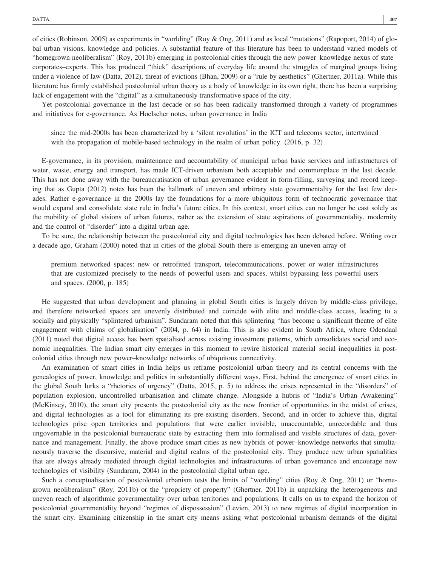of cities (Robinson, 2005) as experiments in "worlding" (Roy & Ong, 2011) and as local "mutations" (Rapoport, 2014) of global urban visions, knowledge and policies. A substantial feature of this literature has been to understand varied models of "homegrown neoliberalism" (Roy, 2011b) emerging in postcolonial cities through the new power–knowledge nexus of state– corporates–experts. This has produced "thick" descriptions of everyday life around the struggles of marginal groups living under a violence of law (Datta, 2012), threat of evictions (Bhan, 2009) or a "rule by aesthetics" (Ghertner, 2011a). While this literature has firmly established postcolonial urban theory as a body of knowledge in its own right, there has been a surprising lack of engagement with the "digital" as a simultaneously transformative space of the city.

Yet postcolonial governance in the last decade or so has been radically transformed through a variety of programmes and initiatives for e-governance. As Hoelscher notes, urban governance in India

since the mid-2000s has been characterized by a 'silent revolution' in the ICT and telecoms sector, intertwined with the propagation of mobile-based technology in the realm of urban policy. (2016, p. 32)

E-governance, in its provision, maintenance and accountability of municipal urban basic services and infrastructures of water, waste, energy and transport, has made ICT-driven urbanism both acceptable and commonplace in the last decade. This has not done away with the bureaucratisation of urban governance evident in form-filling, surveying and record keeping that as Gupta (2012) notes has been the hallmark of uneven and arbitrary state governmentality for the last few decades. Rather e-governance in the 2000s lay the foundations for a more ubiquitous form of technocratic governance that would expand and consolidate state rule in India's future cities. In this context, smart cities can no longer be cast solely as the mobility of global visions of urban futures, rather as the extension of state aspirations of governmentality, modernity and the control of "disorder" into a digital urban age.

To be sure, the relationship between the postcolonial city and digital technologies has been debated before. Writing over a decade ago, Graham (2000) noted that in cities of the global South there is emerging an uneven array of

premium networked spaces: new or retrofitted transport, telecommunications, power or water infrastructures that are customized precisely to the needs of powerful users and spaces, whilst bypassing less powerful users and spaces. (2000, p. 185)

He suggested that urban development and planning in global South cities is largely driven by middle-class privilege, and therefore networked spaces are unevenly distributed and coincide with elite and middle-class access, leading to a socially and physically "splintered urbanism". Sundaram noted that this splintering "has become a significant theatre of elite engagement with claims of globalisation" (2004, p. 64) in India. This is also evident in South Africa, where Odendaal (2011) noted that digital access has been spatialised across existing investment patterns, which consolidates social and economic inequalities. The Indian smart city emerges in this moment to rewire historical–material–social inequalities in postcolonial cities through new power–knowledge networks of ubiquitous connectivity.

An examination of smart cities in India helps us reframe postcolonial urban theory and its central concerns with the genealogies of power, knowledge and politics in substantially different ways. First, behind the emergence of smart cities in the global South lurks a "rhetorics of urgency" (Datta, 2015, p. 5) to address the crises represented in the "disorders" of population explosion, uncontrolled urbanisation and climate change. Alongside a hubris of "India's Urban Awakening" (McKinsey, 2010), the smart city presents the postcolonial city as the new frontier of opportunities in the midst of crises, and digital technologies as a tool for eliminating its pre-existing disorders. Second, and in order to achieve this, digital technologies prise open territories and populations that were earlier invisible, unaccountable, unrecordable and thus ungovernable in the postcolonial bureaucratic state by extracting them into formalised and visible structures of data, governance and management. Finally, the above produce smart cities as new hybrids of power–knowledge networks that simultaneously traverse the discursive, material and digital realms of the postcolonial city. They produce new urban spatialities that are always already mediated through digital technologies and infrastructures of urban governance and encourage new technologies of visibility (Sundaram, 2004) in the postcolonial digital urban age.

Such a conceptualisation of postcolonial urbanism tests the limits of "worlding" cities (Roy & Ong, 2011) or "homegrown neoliberalism" (Roy, 2011b) or the "propriety of property" (Ghertner, 2011b) in unpacking the heterogeneous and uneven reach of algorithmic governmentality over urban territories and populations. It calls on us to expand the horizon of postcolonial governmentality beyond "regimes of dispossession" (Levien, 2013) to new regimes of digital incorporation in the smart city. Examining citizenship in the smart city means asking what postcolonial urbanism demands of the digital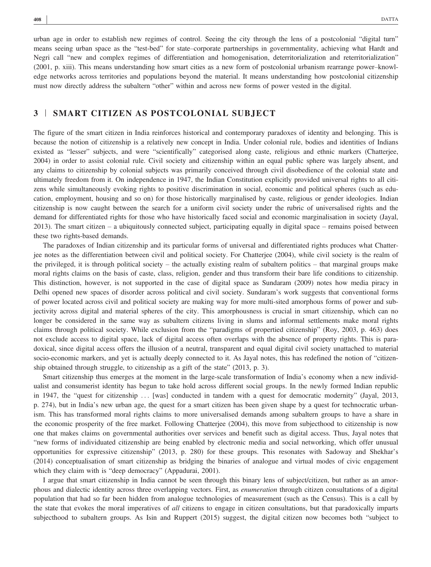urban age in order to establish new regimes of control. Seeing the city through the lens of a postcolonial "digital turn" means seeing urban space as the "test-bed" for state–corporate partnerships in governmentality, achieving what Hardt and Negri call "new and complex regimes of differentiation and homogenisation, deterritorialization and reterritorialization" (2001, p. xiii). This means understanding how smart cities as a new form of postcolonial urbanism rearrange power–knowledge networks across territories and populations beyond the material. It means understanding how postcolonial citizenship must now directly address the subaltern "other" within and across new forms of power vested in the digital.

## 3 | SMART CITIZEN AS POSTCOLONIAL SUBJECT

The figure of the smart citizen in India reinforces historical and contemporary paradoxes of identity and belonging. This is because the notion of citizenship is a relatively new concept in India. Under colonial rule, bodies and identities of Indians existed as "lesser" subjects, and were "scientifically" categorised along caste, religious and ethnic markers (Chatterjee, 2004) in order to assist colonial rule. Civil society and citizenship within an equal public sphere was largely absent, and any claims to citizenship by colonial subjects was primarily conceived through civil disobedience of the colonial state and ultimately freedom from it. On independence in 1947, the Indian Constitution explicitly provided universal rights to all citizens while simultaneously evoking rights to positive discrimination in social, economic and political spheres (such as education, employment, housing and so on) for those historically marginalised by caste, religious or gender ideologies. Indian citizenship is now caught between the search for a uniform civil society under the rubric of universalised rights and the demand for differentiated rights for those who have historically faced social and economic marginalisation in society (Jayal,  $2013$ ). The smart citizen – a ubiquitously connected subject, participating equally in digital space – remains poised between these two rights-based demands.

The paradoxes of Indian citizenship and its particular forms of universal and differentiated rights produces what Chatterjee notes as the differentiation between civil and political society. For Chatterjee (2004), while civil society is the realm of the privileged, it is through political society – the actually existing realm of subaltern politics – that marginal groups make moral rights claims on the basis of caste, class, religion, gender and thus transform their bare life conditions to citizenship. This distinction, however, is not supported in the case of digital space as Sundaram (2009) notes how media piracy in Delhi opened new spaces of disorder across political and civil society. Sundaram's work suggests that conventional forms of power located across civil and political society are making way for more multi-sited amorphous forms of power and subjectivity across digital and material spheres of the city. This amorphousness is crucial in smart citizenship, which can no longer be considered in the same way as subaltern citizens living in slums and informal settlements make moral rights claims through political society. While exclusion from the "paradigms of propertied citizenship" (Roy, 2003, p. 463) does not exclude access to digital space, lack of digital access often overlaps with the absence of property rights. This is paradoxical, since digital access offers the illusion of a neutral, transparent and equal digital civil society unattached to material socio-economic markers, and yet is actually deeply connected to it. As Jayal notes, this has redefined the notion of "citizenship obtained through struggle, to citizenship as a gift of the state" (2013, p. 3).

Smart citizenship thus emerges at the moment in the large-scale transformation of India's economy when a new individualist and consumerist identity has begun to take hold across different social groups. In the newly formed Indian republic in 1947, the "quest for citizenship ... [was] conducted in tandem with a quest for democratic modernity" (Jayal, 2013, p. 274), but in India's new urban age, the quest for a smart citizen has been given shape by a quest for technocratic urbanism. This has transformed moral rights claims to more universalised demands among subaltern groups to have a share in the economic prosperity of the free market. Following Chatterjee (2004), this move from subjecthood to citizenship is now one that makes claims on governmental authorities over services and benefit such as digital access. Thus, Jayal notes that "new forms of individuated citizenship are being enabled by electronic media and social networking, which offer unusual opportunities for expressive citizenship" (2013, p. 280) for these groups. This resonates with Sadoway and Shekhar's (2014) conceptualisation of smart citizenship as bridging the binaries of analogue and virtual modes of civic engagement which they claim with is "deep democracy" (Appadurai, 2001).

I argue that smart citizenship in India cannot be seen through this binary lens of subject/citizen, but rather as an amorphous and dialectic identity across three overlapping vectors. First, as enumeration through citizen consultations of a digital population that had so far been hidden from analogue technologies of measurement (such as the Census). This is a call by the state that evokes the moral imperatives of *all* citizens to engage in citizen consultations, but that paradoxically imparts subjecthood to subaltern groups. As Isin and Ruppert (2015) suggest, the digital citizen now becomes both "subject to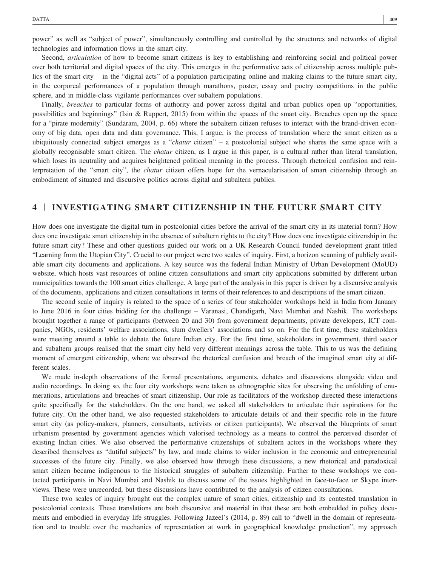power" as well as "subject of power", simultaneously controlling and controlled by the structures and networks of digital technologies and information flows in the smart city.

Second, articulation of how to become smart citizens is key to establishing and reinforcing social and political power over both territorial and digital spaces of the city. This emerges in the performative acts of citizenship across multiple publics of the smart city – in the "digital acts" of a population participating online and making claims to the future smart city, in the corporeal performances of a population through marathons, poster, essay and poetry competitions in the public sphere, and in middle-class vigilante performances over subaltern populations.

Finally, *breaches* to particular forms of authority and power across digital and urban publics open up "opportunities, possibilities and beginnings" (Isin & Ruppert, 2015) from within the spaces of the smart city. Breaches open up the space for a "pirate modernity" (Sundaram, 2004, p. 66) where the subaltern citizen refuses to interact with the brand-driven economy of big data, open data and data governance. This, I argue, is the process of translation where the smart citizen as a ubiquitously connected subject emerges as a "*chatur* citizen" – a postcolonial subject who shares the same space with a globally recognisable smart citizen. The chatur citizen, as I argue in this paper, is a cultural rather than literal translation, which loses its neutrality and acquires heightened political meaning in the process. Through rhetorical confusion and reinterpretation of the "smart city", the *chatur* citizen offers hope for the vernacularisation of smart citizenship through an embodiment of situated and discursive politics across digital and subaltern publics.

# 4 | INVESTIGATING SMART CITIZENSHIP IN THE FUTURE SMART CITY

How does one investigate the digital turn in postcolonial cities before the arrival of the smart city in its material form? How does one investigate smart citizenship in the absence of subaltern rights to the city? How does one investigate citizenship in the future smart city? These and other questions guided our work on a UK Research Council funded development grant titled "Learning from the Utopian City". Crucial to our project were two scales of inquiry. First, a horizon scanning of publicly available smart city documents and applications. A key source was the federal Indian Ministry of Urban Development (MoUD) website, which hosts vast resources of online citizen consultations and smart city applications submitted by different urban municipalities towards the 100 smart cities challenge. A large part of the analysis in this paper is driven by a discursive analysis of the documents, applications and citizen consultations in terms of their references to and descriptions of the smart citizen.

The second scale of inquiry is related to the space of a series of four stakeholder workshops held in India from January to June 2016 in four cities bidding for the challenge – Varanasi, Chandigarh, Navi Mumbai and Nashik. The workshops brought together a range of participants (between 20 and 30) from government departments, private developers, ICT companies, NGOs, residents' welfare associations, slum dwellers' associations and so on. For the first time, these stakeholders were meeting around a table to debate the future Indian city. For the first time, stakeholders in government, third sector and subaltern groups realised that the smart city held very different meanings across the table. This to us was the defining moment of emergent citizenship, where we observed the rhetorical confusion and breach of the imagined smart city at different scales.

We made in-depth observations of the formal presentations, arguments, debates and discussions alongside video and audio recordings. In doing so, the four city workshops were taken as ethnographic sites for observing the unfolding of enumerations, articulations and breaches of smart citizenship. Our role as facilitators of the workshop directed these interactions quite specifically for the stakeholders. On the one hand, we asked all stakeholders to articulate their aspirations for the future city. On the other hand, we also requested stakeholders to articulate details of and their specific role in the future smart city (as policy-makers, planners, consultants, activists or citizen participants). We observed the blueprints of smart urbanism presented by government agencies which valorised technology as a means to control the perceived disorder of existing Indian cities. We also observed the performative citizenships of subaltern actors in the workshops where they described themselves as "dutiful subjects" by law, and made claims to wider inclusion in the economic and entrepreneurial successes of the future city. Finally, we also observed how through these discussions, a new rhetorical and paradoxical smart citizen became indigenous to the historical struggles of subaltern citizenship. Further to these workshops we contacted participants in Navi Mumbai and Nashik to discuss some of the issues highlighted in face-to-face or Skype interviews. These were unrecorded, but these discussions have contributed to the analysis of citizen consultations.

These two scales of inquiry brought out the complex nature of smart cities, citizenship and its contested translation in postcolonial contexts. These translations are both discursive and material in that these are both embedded in policy documents and embodied in everyday life struggles. Following Jazeel's (2014, p. 89) call to "dwell in the domain of representation and to trouble over the mechanics of representation at work in geographical knowledge production", my approach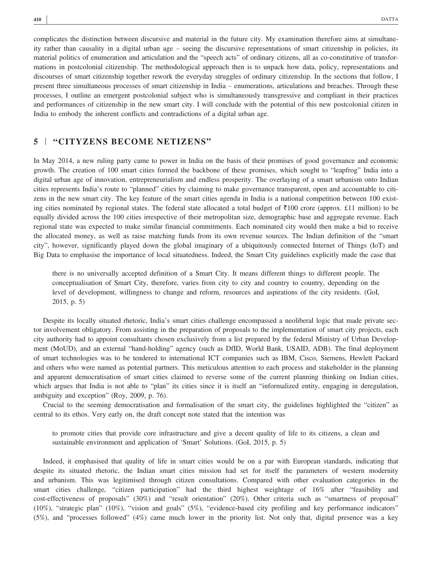complicates the distinction between discursive and material in the future city. My examination therefore aims at simultaneity rather than causality in a digital urban age – seeing the discursive representations of smart citizenship in policies, its material politics of enumeration and articulation and the "speech acts" of ordinary citizens, all as co-constitutive of transformations in postcolonial citizenship. The methodological approach then is to unpack how data, policy, representations and discourses of smart citizenship together rework the everyday struggles of ordinary citizenship. In the sections that follow, I present three simultaneous processes of smart citizenship in India – enumerations, articulations and breaches. Through these processes, I outline an emergent postcolonial subject who is simultaneously transgressive and compliant in their practices and performances of citizenship in the new smart city. I will conclude with the potential of this new postcolonial citizen in India to embody the inherent conflicts and contradictions of a digital urban age.

# 5 <sup>|</sup> "CITYZENS BECOME NETIZENS"

In May 2014, a new ruling party came to power in India on the basis of their promises of good governance and economic growth. The creation of 100 smart cities formed the backbone of these promises, which sought to "leapfrog" India into a digital urban age of innovation, entrepreneurialism and endless prosperity. The overlaying of a smart urbanism onto Indian cities represents India's route to "planned" cities by claiming to make governance transparent, open and accountable to citizens in the new smart city. The key feature of the smart cities agenda in India is a national competition between 100 existing cities nominated by regional states. The federal state allocated a total budget of  $\bar{\tau}100$  crore (approx. £11 million) to be equally divided across the 100 cities irrespective of their metropolitan size, demographic base and aggregate revenue. Each regional state was expected to make similar financial commitments. Each nominated city would then make a bid to receive the allocated money, as well as raise matching funds from its own revenue sources. The Indian definition of the "smart city", however, significantly played down the global imaginary of a ubiquitously connected Internet of Things (IoT) and Big Data to emphasise the importance of local situatedness. Indeed, the Smart City guidelines explicitly made the case that

there is no universally accepted definition of a Smart City. It means different things to different people. The conceptualisation of Smart City, therefore, varies from city to city and country to country, depending on the level of development, willingness to change and reform, resources and aspirations of the city residents. (GoI, 2015, p. 5)

Despite its locally situated rhetoric, India's smart cities challenge encompassed a neoliberal logic that made private sector involvement obligatory. From assisting in the preparation of proposals to the implementation of smart city projects, each city authority had to appoint consultants chosen exclusively from a list prepared by the federal Ministry of Urban Development (MoUD), and an external "hand-holding" agency (such as DfID, World Bank, USAID, ADB). The final deployment of smart technologies was to be tendered to international ICT companies such as IBM, Cisco, Siemens, Hewlett Packard and others who were named as potential partners. This meticulous attention to each process and stakeholder in the planning and apparent democratisation of smart cities claimed to reverse some of the current planning thinking on Indian cities, which argues that India is not able to "plan" its cities since it is itself an "informalized entity, engaging in deregulation, ambiguity and exception" (Roy, 2009, p. 76).

Crucial to the seeming democratisation and formalisation of the smart city, the guidelines highlighted the "citizen" as central to its ethos. Very early on, the draft concept note stated that the intention was

to promote cities that provide core infrastructure and give a decent quality of life to its citizens, a clean and sustainable environment and application of 'Smart' Solutions. (GoI, 2015, p. 5)

Indeed, it emphasised that quality of life in smart cities would be on a par with European standards, indicating that despite its situated rhetoric, the Indian smart cities mission had set for itself the parameters of western modernity and urbanism. This was legitimised through citizen consultations. Compared with other evaluation categories in the smart cities challenge, "citizen participation" had the third highest weightage of 16% after "feasibility and cost-effectiveness of proposals" (30%) and "result orientation" (20%). Other criteria such as "smartness of proposal" (10%), "strategic plan" (10%), "vision and goals" (5%), "evidence-based city profiling and key performance indicators" (5%), and "processes followed" (4%) came much lower in the priority list. Not only that, digital presence was a key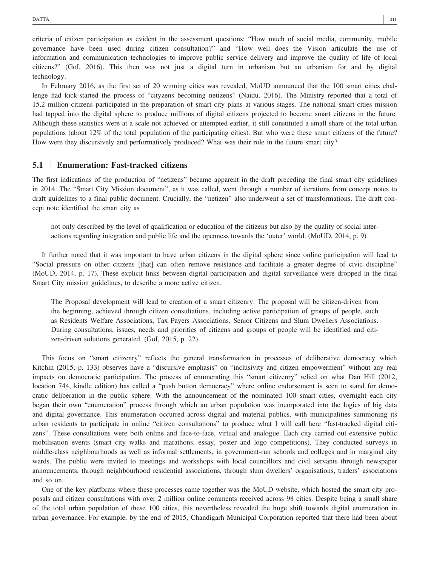criteria of citizen participation as evident in the assessment questions: "How much of social media, community, mobile governance have been used during citizen consultation?" and "How well does the Vision articulate the use of information and communication technologies to improve public service delivery and improve the quality of life of local citizens?" (GoI, 2016). This then was not just a digital turn in urbanism but an urbanism for and by digital technology.

In February 2016, as the first set of 20 winning cities was revealed, MoUD announced that the 100 smart cities challenge had kick-started the process of "cityzens becoming netizens" (Naidu, 2016). The Ministry reported that a total of 15.2 million citizens participated in the preparation of smart city plans at various stages. The national smart cities mission had tapped into the digital sphere to produce millions of digital citizens projected to become smart citizens in the future. Although these statistics were at a scale not achieved or attempted earlier, it still constituted a small share of the total urban populations (about 12% of the total population of the participating cities). But who were these smart citizens of the future? How were they discursively and performatively produced? What was their role in the future smart city?

## 5.1 | Enumeration: Fast-tracked citizens

The first indications of the production of "netizens" became apparent in the draft preceding the final smart city guidelines in 2014. The "Smart City Mission document", as it was called, went through a number of iterations from concept notes to draft guidelines to a final public document. Crucially, the "netizen" also underwent a set of transformations. The draft concept note identified the smart city as

not only described by the level of qualification or education of the citizens but also by the quality of social interactions regarding integration and public life and the openness towards the 'outer' world. (MoUD, 2014, p. 9)

It further noted that it was important to have urban citizens in the digital sphere since online participation will lead to "Social pressure on other citizens [that] can often remove resistance and facilitate a greater degree of civic discipline" (MoUD, 2014, p. 17). These explicit links between digital participation and digital surveillance were dropped in the final Smart City mission guidelines, to describe a more active citizen.

The Proposal development will lead to creation of a smart citizenry. The proposal will be citizen-driven from the beginning, achieved through citizen consultations, including active participation of groups of people, such as Residents Welfare Associations, Tax Payers Associations, Senior Citizens and Slum Dwellers Associations. During consultations, issues, needs and priorities of citizens and groups of people will be identified and citizen-driven solutions generated. (GoI, 2015, p. 22)

This focus on "smart citizenry" reflects the general transformation in processes of deliberative democracy which Kitchin (2015, p. 133) observes have a "discursive emphasis" on "inclusivity and citizen empowerment" without any real impacts on democratic participation. The process of enumerating this "smart citizenry" relied on what Dan Hill (2012, location 744, kindle edition) has called a "push button democracy" where online endorsement is seen to stand for democratic deliberation in the public sphere. With the announcement of the nominated 100 smart cities, overnight each city began their own "enumeration" process through which an urban population was incorporated into the logics of big data and digital governance. This enumeration occurred across digital and material publics, with municipalities summoning its urban residents to participate in online "citizen consultations" to produce what I will call here "fast-tracked digital citizens". These consultations were both online and face-to-face, virtual and analogue. Each city carried out extensive public mobilisation events (smart city walks and marathons, essay, poster and logo competitions). They conducted surveys in middle-class neighbourhoods as well as informal settlements, in government-run schools and colleges and in marginal city wards. The public were invited to meetings and workshops with local councillors and civil servants through newspaper announcements, through neighbourhood residential associations, through slum dwellers' organisations, traders' associations and so on.

One of the key platforms where these processes came together was the MoUD website, which hosted the smart city proposals and citizen consultations with over 2 million online comments received across 98 cities. Despite being a small share of the total urban population of these 100 cities, this nevertheless revealed the huge shift towards digital enumeration in urban governance. For example, by the end of 2015, Chandigarh Municipal Corporation reported that there had been about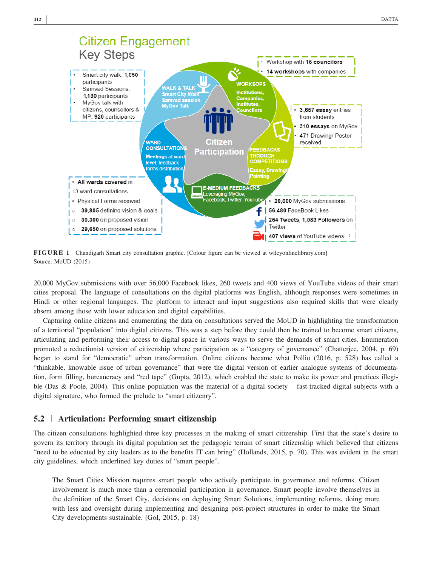

FIGURE 1 Chandigarh Smart city consultation graphic. [Colour figure can be viewed at wileyonlinelibrary.com] Source: MoUD (2015)

20,000 MyGov submissions with over 56,000 Facebook likes, 260 tweets and 400 views of YouTube videos of their smart cities proposal. The language of consultations on the digital platforms was English, although responses were sometimes in Hindi or other regional languages. The platform to interact and input suggestions also required skills that were clearly absent among those with lower education and digital capabilities.

Capturing online citizens and enumerating the data on consultations served the MoUD in highlighting the transformation of a territorial "population" into digital citizens. This was a step before they could then be trained to become smart citizens, articulating and performing their access to digital space in various ways to serve the demands of smart cities. Enumeration promoted a reductionist version of citizenship where participation as a "category of governance" (Chatterjee, 2004, p. 69) began to stand for "democratic" urban transformation. Online citizens became what Pollio (2016, p. 528) has called a "thinkable, knowable issue of urban governance" that were the digital version of earlier analogue systems of documentation, form filling, bureaucracy and "red tape" (Gupta, 2012), which enabled the state to make its power and practices illegible (Das & Poole, 2004). This online population was the material of a digital society – fast-tracked digital subjects with a digital signature, who formed the prelude to "smart citizenry".

## 5.2 | Articulation: Performing smart citizenship

The citizen consultations highlighted three key processes in the making of smart citizenship. First that the state's desire to govern its territory through its digital population set the pedagogic terrain of smart citizenship which believed that citizens "need to be educated by city leaders as to the benefits IT can bring" (Hollands, 2015, p. 70). This was evident in the smart city guidelines, which underlined key duties of "smart people".

The Smart Cities Mission requires smart people who actively participate in governance and reforms. Citizen involvement is much more than a ceremonial participation in governance. Smart people involve themselves in the definition of the Smart City, decisions on deploying Smart Solutions, implementing reforms, doing more with less and oversight during implementing and designing post-project structures in order to make the Smart City developments sustainable. (GoI, 2015, p. 18)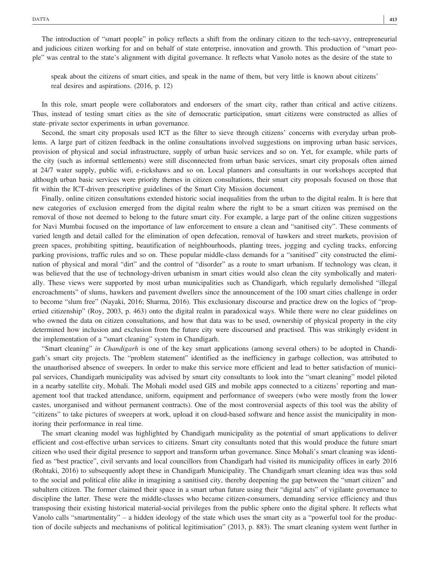The introduction of "smart people" in policy reflects a shift from the ordinary citizen to the tech-savvy, entrepreneurial and judicious citizen working for and on behalf of state enterprise, innovation and growth. This production of "smart people" was central to the state's alignment with digital governance. It reflects what Vanolo notes as the desire of the state to

speak about the citizens of smart cities, and speak in the name of them, but very little is known about citizens' real desires and aspirations. (2016, p. 12)

In this role, smart people were collaborators and endorsers of the smart city, rather than critical and active citizens. Thus, instead of testing smart cities as the site of democratic participation, smart citizens were constructed as allies of state–private sector experiments in urban governance.

Second, the smart city proposals used ICT as the filter to sieve through citizens' concerns with everyday urban problems. A large part of citizen feedback in the online consultations involved suggestions on improving urban basic services, provision of physical and social infrastructure, supply of urban basic services and so on. Yet, for example, while parts of the city (such as informal settlements) were still disconnected from urban basic services, smart city proposals often aimed at 24/7 water supply, public wifi, e-rickshaws and so on. Local planners and consultants in our workshops accepted that although urban basic services were priority themes in citizen consultations, their smart city proposals focused on those that fit within the ICT-driven prescriptive guidelines of the Smart City Mission document.

Finally, online citizen consultations extended historic social inequalities from the urban to the digital realm. It is here that new categories of exclusion emerged from the digital realm where the right to be a smart citizen was premised on the removal of those not deemed to belong to the future smart city. For example, a large part of the online citizen suggestions for Navi Mumbai focused on the importance of law enforcement to ensure a clean and "sanitised city". These comments of varied length and detail called for the elimination of open defecation, removal of hawkers and street markets, provision of green spaces, prohibiting spitting, beautification of neighbourhoods, planting trees, jogging and cycling tracks, enforcing parking provisions, traffic rules and so on. These popular middle-class demands for a "sanitised" city constructed the elimination of physical and moral "dirt" and the control of "disorder" as a route to smart urbanism. If technology was clean, it was believed that the use of technology-driven urbanism in smart cities would also clean the city symbolically and materially. These views were supported by most urban municipalities such as Chandigarh, which regularly demolished "illegal encroachments" of slums, hawkers and pavement dwellers since the announcement of the 100 smart cities challenge in order to become "slum free" (Nayaki, 2016; Sharma, 2016). This exclusionary discourse and practice drew on the logics of "propertied citizenship" (Roy, 2003, p. 463) onto the digital realm in paradoxical ways. While there were no clear guidelines on who owned the data on citizen consultations, and how that data was to be used, ownership of physical property in the city determined how inclusion and exclusion from the future city were discoursed and practised. This was strikingly evident in the implementation of a "smart cleaning" system in Chandigarh.

"Smart cleaning" in Chandigarh is one of the key smart applications (among several others) to be adopted in Chandigarh's smart city projects. The "problem statement" identified as the inefficiency in garbage collection, was attributed to the unauthorised absence of sweepers. In order to make this service more efficient and lead to better satisfaction of municipal services, Chandigarh municipality was advised by smart city consultants to look into the "smart cleaning" model piloted in a nearby satellite city, Mohali. The Mohali model used GIS and mobile apps connected to a citizens' reporting and management tool that tracked attendance, uniform, equipment and performance of sweepers (who were mostly from the lower castes, unorganised and without permanent contracts). One of the most controversial aspects of this tool was the ability of "citizens" to take pictures of sweepers at work, upload it on cloud-based software and hence assist the municipality in monitoring their performance in real time.

The smart cleaning model was highlighted by Chandigarh municipality as the potential of smart applications to deliver efficient and cost-effective urban services to citizens. Smart city consultants noted that this would produce the future smart citizen who used their digital presence to support and transform urban governance. Since Mohali's smart cleaning was identified as "best practice", civil servants and local councillors from Chandigarh had visited its municipality offices in early 2016 (Rohtaki, 2016) to subsequently adopt these in Chandigarh Municipality. The Chandigarh smart cleaning idea was thus sold to the social and political elite alike in imagining a sanitised city, thereby deepening the gap between the "smart citizen" and subaltern citizen. The former claimed their space in a smart urban future using their "digital acts" of vigilante governance to discipline the latter. These were the middle-classes who became citizen-consumers, demanding service efficiency and thus transposing their existing historical material-social privileges from the public sphere onto the digital sphere. It reflects what Vanolo calls "smartmentality" – a hidden ideology of the state which uses the smart city as a "powerful tool for the production of docile subjects and mechanisms of political legitimisation" (2013, p. 883). The smart cleaning system went further in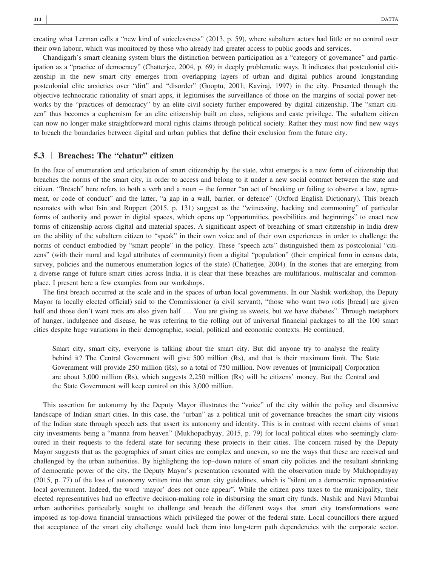creating what Lerman calls a "new kind of voicelessness" (2013, p. 59), where subaltern actors had little or no control over their own labour, which was monitored by those who already had greater access to public goods and services.

Chandigarh's smart cleaning system blurs the distinction between participation as a "category of governance" and participation as a "practice of democracy" (Chatterjee, 2004, p. 69) in deeply problematic ways. It indicates that postcolonial citizenship in the new smart city emerges from overlapping layers of urban and digital publics around longstanding postcolonial elite anxieties over "dirt" and "disorder" (Gooptu, 2001; Kaviraj, 1997) in the city. Presented through the objective technocratic rationality of smart apps, it legitimises the surveillance of those on the margins of social power networks by the "practices of democracy" by an elite civil society further empowered by digital citizenship. The "smart citizen" thus becomes a euphemism for an elite citizenship built on class, religious and caste privilege. The subaltern citizen can now no longer make straightforward moral rights claims through political society. Rather they must now find new ways to breach the boundaries between digital and urban publics that define their exclusion from the future city.

## 5.3 <sup>|</sup> Breaches: The "chatur" citizen

In the face of enumeration and articulation of smart citizenship by the state, what emerges is a new form of citizenship that breaches the norms of the smart city, in order to access and belong to it under a new social contract between the state and citizen. "Breach" here refers to both a verb and a noun – the former "an act of breaking or failing to observe a law, agreement, or code of conduct" and the latter, "a gap in a wall, barrier, or defence" (Oxford English Dictionary). This breach resonates with what Isin and Ruppert (2015, p. 131) suggest as the "witnessing, hacking and commoning" of particular forms of authority and power in digital spaces, which opens up "opportunities, possibilities and beginnings" to enact new forms of citizenship across digital and material spaces. A significant aspect of breaching of smart citizenship in India drew on the ability of the subaltern citizen to "speak" in their own voice and of their own experiences in order to challenge the norms of conduct embodied by "smart people" in the policy. These "speech acts" distinguished them as postcolonial "citizens" (with their moral and legal attributes of community) from a digital "population" (their empirical form in census data, survey, policies and the numerous enumeration logics of the state) (Chatterjee, 2004). In the stories that are emerging from a diverse range of future smart cities across India, it is clear that these breaches are multifarious, multiscalar and commonplace. I present here a few examples from our workshops.

The first breach occurred at the scale and in the spaces of urban local governments. In our Nashik workshop, the Deputy Mayor (a locally elected official) said to the Commissioner (a civil servant), "those who want two rotis [bread] are given half and those don't want rotis are also given half ... You are giving us sweets, but we have diabetes". Through metaphors of hunger, indulgence and disease, he was referring to the rolling out of universal financial packages to all the 100 smart cities despite huge variations in their demographic, social, political and economic contexts. He continued,

Smart city, smart city, everyone is talking about the smart city. But did anyone try to analyse the reality behind it? The Central Government will give 500 million (Rs), and that is their maximum limit. The State Government will provide 250 million (Rs), so a total of 750 million. Now revenues of [municipal] Corporation are about 3,000 million (Rs), which suggests 2,250 million (Rs) will be citizens' money. But the Central and the State Government will keep control on this 3,000 million.

This assertion for autonomy by the Deputy Mayor illustrates the "voice" of the city within the policy and discursive landscape of Indian smart cities. In this case, the "urban" as a political unit of governance breaches the smart city visions of the Indian state through speech acts that assert its autonomy and identity. This is in contrast with recent claims of smart city investments being a "manna from heaven" (Mukhopadhyay, 2015, p. 79) for local political elites who seemingly clamoured in their requests to the federal state for securing these projects in their cities. The concern raised by the Deputy Mayor suggests that as the geographies of smart cities are complex and uneven, so are the ways that these are received and challenged by the urban authorities. By highlighting the top–down nature of smart city policies and the resultant shrinking of democratic power of the city, the Deputy Mayor's presentation resonated with the observation made by Mukhopadhyay (2015, p. 77) of the loss of autonomy written into the smart city guidelines, which is "silent on a democratic representative local government. Indeed, the word 'mayor' does not once appear". While the citizen pays taxes to the municipality, their elected representatives had no effective decision-making role in disbursing the smart city funds. Nashik and Navi Mumbai urban authorities particularly sought to challenge and breach the different ways that smart city transformations were imposed as top-down financial transactions which privileged the power of the federal state. Local councillors there argued that acceptance of the smart city challenge would lock them into long-term path dependencies with the corporate sector.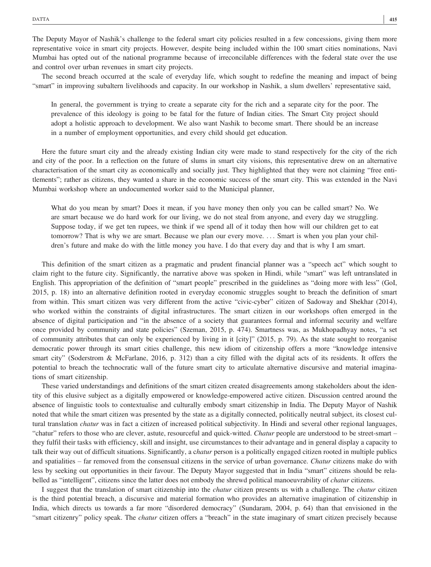The Deputy Mayor of Nashik's challenge to the federal smart city policies resulted in a few concessions, giving them more representative voice in smart city projects. However, despite being included within the 100 smart cities nominations, Navi Mumbai has opted out of the national programme because of irreconcilable differences with the federal state over the use and control over urban revenues in smart city projects.

The second breach occurred at the scale of everyday life, which sought to redefine the meaning and impact of being "smart" in improving subaltern livelihoods and capacity. In our workshop in Nashik, a slum dwellers' representative said,

In general, the government is trying to create a separate city for the rich and a separate city for the poor. The prevalence of this ideology is going to be fatal for the future of Indian cities. The Smart City project should adopt a holistic approach to development. We also want Nashik to become smart. There should be an increase in a number of employment opportunities, and every child should get education.

Here the future smart city and the already existing Indian city were made to stand respectively for the city of the rich and city of the poor. In a reflection on the future of slums in smart city visions, this representative drew on an alternative characterisation of the smart city as economically and socially just. They highlighted that they were not claiming "free entitlements"; rather as citizens, they wanted a share in the economic success of the smart city. This was extended in the Navi Mumbai workshop where an undocumented worker said to the Municipal planner,

What do you mean by smart? Does it mean, if you have money then only you can be called smart? No. We are smart because we do hard work for our living, we do not steal from anyone, and every day we struggling. Suppose today, if we get ten rupees, we think if we spend all of it today then how will our children get to eat tomorrow? That is why we are smart. Because we plan our every move. ... Smart is when you plan your children's future and make do with the little money you have. I do that every day and that is why I am smart.

This definition of the smart citizen as a pragmatic and prudent financial planner was a "speech act" which sought to claim right to the future city. Significantly, the narrative above was spoken in Hindi, while "smart" was left untranslated in English. This appropriation of the definition of "smart people" prescribed in the guidelines as "doing more with less" (GoI, 2015, p. 18) into an alternative definition rooted in everyday economic struggles sought to breach the definition of smart from within. This smart citizen was very different from the active "civic-cyber" citizen of Sadoway and Shekhar (2014), who worked within the constraints of digital infrastructures. The smart citizen in our workshops often emerged in the absence of digital participation and "in the absence of a society that guarantees formal and informal security and welfare once provided by community and state policies" (Szeman, 2015, p. 474). Smartness was, as Mukhopadhyay notes, "a set of community attributes that can only be experienced by living in it [city]" (2015, p. 79). As the state sought to reorganise democratic power through its smart cities challenge, this new idiom of citizenship offers a more "knowledge intensive smart city" (Soderstrom & McFarlane, 2016, p. 312) than a city filled with the digital acts of its residents. It offers the potential to breach the technocratic wall of the future smart city to articulate alternative discursive and material imaginations of smart citizenship.

These varied understandings and definitions of the smart citizen created disagreements among stakeholders about the identity of this elusive subject as a digitally empowered or knowledge-empowered active citizen. Discussion centred around the absence of linguistic tools to contextualise and culturally embody smart citizenship in India. The Deputy Mayor of Nashik noted that while the smart citizen was presented by the state as a digitally connected, politically neutral subject, its closest cultural translation *chatur* was in fact a citizen of increased political subjectivity. In Hindi and several other regional languages, "chatur" refers to those who are clever, astute, resourceful and quick-witted. Chatur people are understood to be street-smart – they fulfil their tasks with efficiency, skill and insight, use circumstances to their advantage and in general display a capacity to talk their way out of difficult situations. Significantly, a chatur person is a politically engaged citizen rooted in multiple publics and spatialities – far removed from the consensual citizens in the service of urban governance. Chatur citizens make do with less by seeking out opportunities in their favour. The Deputy Mayor suggested that in India "smart" citizens should be relabelled as "intelligent", citizens since the latter does not embody the shrewd political manoeuvrability of *chatur* citizens.

I suggest that the translation of smart citizenship into the chatur citizen presents us with a challenge. The chatur citizen is the third potential breach, a discursive and material formation who provides an alternative imagination of citizenship in India, which directs us towards a far more "disordered democracy" (Sundaram, 2004, p. 64) than that envisioned in the "smart citizenry" policy speak. The *chatur* citizen offers a "breach" in the state imaginary of smart citizen precisely because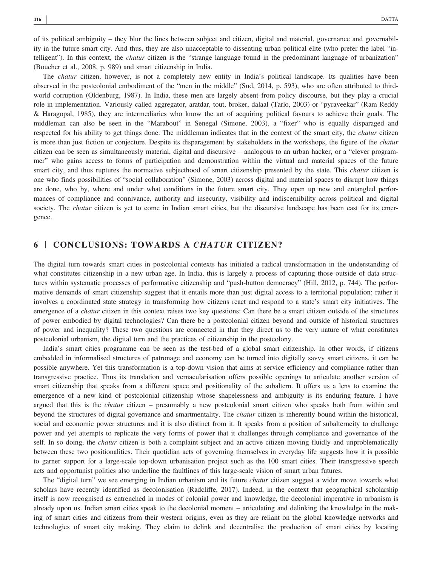of its political ambiguity – they blur the lines between subject and citizen, digital and material, governance and governability in the future smart city. And thus, they are also unacceptable to dissenting urban political elite (who prefer the label "intelligent"). In this context, the *chatur* citizen is the "strange language found in the predominant language of urbanization" (Boucher et al., 2008, p. 989) and smart citizenship in India.

The *chatur* citizen, however, is not a completely new entity in India's political landscape. Its qualities have been observed in the postcolonial embodiment of the "men in the middle" (Sud, 2014, p. 593), who are often attributed to thirdworld corruption (Oldenburg, 1987). In India, these men are largely absent from policy discourse, but they play a crucial role in implementation. Variously called aggregator, aratdar, tout, broker, dalaal (Tarlo, 2003) or "pyraveekar" (Ram Reddy & Haragopal, 1985), they are intermediaries who know the art of acquiring political favours to achieve their goals. The middleman can also be seen in the "Marabout" in Senegal (Simone, 2003), a "fixer" who is equally disparaged and respected for his ability to get things done. The middleman indicates that in the context of the smart city, the *chatur* citizen is more than just fiction or conjecture. Despite its disparagement by stakeholders in the workshops, the figure of the *chatur* citizen can be seen as simultaneously material, digital and discursive – analogous to an urban hacker, or a "clever programmer" who gains access to forms of participation and demonstration within the virtual and material spaces of the future smart city, and thus ruptures the normative subjecthood of smart citizenship presented by the state. This *chatur* citizen is one who finds possibilities of "social collaboration" (Simone, 2003) across digital and material spaces to disrupt how things are done, who by, where and under what conditions in the future smart city. They open up new and entangled performances of compliance and connivance, authority and insecurity, visibility and indiscernibility across political and digital society. The *chatur* citizen is yet to come in Indian smart cities, but the discursive landscape has been cast for its emergence.

## 6 | CONCLUSIONS: TOWARDS A CHATUR CITIZEN?

The digital turn towards smart cities in postcolonial contexts has initiated a radical transformation in the understanding of what constitutes citizenship in a new urban age. In India, this is largely a process of capturing those outside of data structures within systematic processes of performative citizenship and "push-button democracy" (Hill, 2012, p. 744). The performative demands of smart citizenship suggest that it entails more than just digital access to a territorial population; rather it involves a coordinated state strategy in transforming how citizens react and respond to a state's smart city initiatives. The emergence of a *chatur* citizen in this context raises two key questions: Can there be a smart citizen outside of the structures of power embodied by digital technologies? Can there be a postcolonial citizen beyond and outside of historical structures of power and inequality? These two questions are connected in that they direct us to the very nature of what constitutes postcolonial urbanism, the digital turn and the practices of citizenship in the postcolony.

India's smart cities programme can be seen as the test-bed of a global smart citizenship. In other words, if citizens embedded in informalised structures of patronage and economy can be turned into digitally savvy smart citizens, it can be possible anywhere. Yet this transformation is a top-down vision that aims at service efficiency and compliance rather than transgressive practice. Thus its translation and vernacularisation offers possible openings to articulate another version of smart citizenship that speaks from a different space and positionality of the subaltern. It offers us a lens to examine the emergence of a new kind of postcolonial citizenship whose shapelessness and ambiguity is its enduring feature. I have argued that this is the chatur citizen – presumably a new postcolonial smart citizen who speaks both from within and beyond the structures of digital governance and smartmentality. The chatur citizen is inherently bound within the historical, social and economic power structures and it is also distinct from it. It speaks from a position of subalterneity to challenge power and yet attempts to replicate the very forms of power that it challenges through compliance and governance of the self. In so doing, the *chatur* citizen is both a complaint subject and an active citizen moving fluidly and unproblematically between these two positionalities. Their quotidian acts of governing themselves in everyday life suggests how it is possible to garner support for a large-scale top-down urbanisation project such as the 100 smart cities. Their transgressive speech acts and opportunist politics also underline the faultlines of this large-scale vision of smart urban futures.

The "digital turn" we see emerging in Indian urbanism and its future *chatur* citizen suggest a wider move towards what scholars have recently identified as decolonisation (Radcliffe, 2017). Indeed, in the context that geographical scholarship itself is now recognised as entrenched in modes of colonial power and knowledge, the decolonial imperative in urbanism is already upon us. Indian smart cities speak to the decolonial moment – articulating and delinking the knowledge in the making of smart cities and citizens from their western origins, even as they are reliant on the global knowledge networks and technologies of smart city making. They claim to delink and decentralise the production of smart cities by locating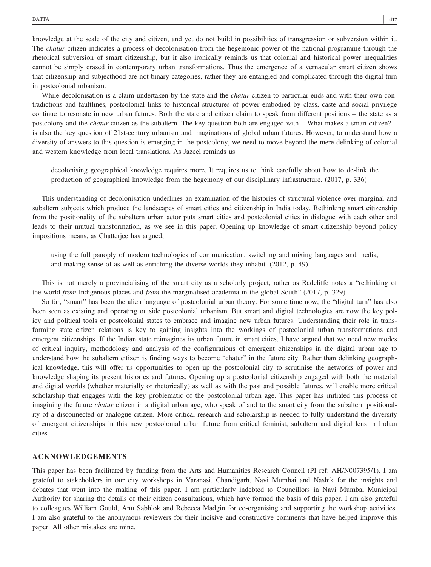knowledge at the scale of the city and citizen, and yet do not build in possibilities of transgression or subversion within it. The *chatur* citizen indicates a process of decolonisation from the hegemonic power of the national programme through the rhetorical subversion of smart citizenship, but it also ironically reminds us that colonial and historical power inequalities cannot be simply erased in contemporary urban transformations. Thus the emergence of a vernacular smart citizen shows that citizenship and subjecthood are not binary categories, rather they are entangled and complicated through the digital turn in postcolonial urbanism.

While decolonisation is a claim undertaken by the state and the *chatur* citizen to particular ends and with their own contradictions and faultlines, postcolonial links to historical structures of power embodied by class, caste and social privilege continue to resonate in new urban futures. Both the state and citizen claim to speak from different positions – the state as a postcolony and the chatur citizen as the subaltern. The key question both are engaged with – What makes a smart citizen? – is also the key question of 21st-century urbanism and imaginations of global urban futures. However, to understand how a diversity of answers to this question is emerging in the postcolony, we need to move beyond the mere delinking of colonial and western knowledge from local translations. As Jazeel reminds us

decolonising geographical knowledge requires more. It requires us to think carefully about how to de-link the production of geographical knowledge from the hegemony of our disciplinary infrastructure. (2017, p. 336)

This understanding of decolonisation underlines an examination of the histories of structural violence over marginal and subaltern subjects which produce the landscapes of smart cities and citizenship in India today. Rethinking smart citizenship from the positionality of the subaltern urban actor puts smart cities and postcolonial cities in dialogue with each other and leads to their mutual transformation, as we see in this paper. Opening up knowledge of smart citizenship beyond policy impositions means, as Chatterjee has argued,

using the full panoply of modern technologies of communication, switching and mixing languages and media, and making sense of as well as enriching the diverse worlds they inhabit. (2012, p. 49)

This is not merely a provincialising of the smart city as a scholarly project, rather as Radcliffe notes a "rethinking of the world from Indigenous places and from the marginalised academia in the global South" (2017, p. 329).

So far, "smart" has been the alien language of postcolonial urban theory. For some time now, the "digital turn" has also been seen as existing and operating outside postcolonial urbanism. But smart and digital technologies are now the key policy and political tools of postcolonial states to embrace and imagine new urban futures. Understanding their role in transforming state–citizen relations is key to gaining insights into the workings of postcolonial urban transformations and emergent citizenships. If the Indian state reimagines its urban future in smart cities, I have argued that we need new modes of critical inquiry, methodology and analysis of the configurations of emergent citizenships in the digital urban age to understand how the subaltern citizen is finding ways to become "chatur" in the future city. Rather than delinking geographical knowledge, this will offer us opportunities to open up the postcolonial city to scrutinise the networks of power and knowledge shaping its present histories and futures. Opening up a postcolonial citizenship engaged with both the material and digital worlds (whether materially or rhetorically) as well as with the past and possible futures, will enable more critical scholarship that engages with the key problematic of the postcolonial urban age. This paper has initiated this process of imagining the future *chatur* citizen in a digital urban age, who speak of and to the smart city from the subaltern positionality of a disconnected or analogue citizen. More critical research and scholarship is needed to fully understand the diversity of emergent citizenships in this new postcolonial urban future from critical feminist, subaltern and digital lens in Indian cities.

#### ACKNOWLEDGEMENTS

This paper has been facilitated by funding from the Arts and Humanities Research Council (PI ref: AH/N007395/1). I am grateful to stakeholders in our city workshops in Varanasi, Chandigarh, Navi Mumbai and Nashik for the insights and debates that went into the making of this paper. I am particularly indebted to Councillors in Navi Mumbai Municipal Authority for sharing the details of their citizen consultations, which have formed the basis of this paper. I am also grateful to colleagues William Gould, Anu Sabhlok and Rebecca Madgin for co-organising and supporting the workshop activities. I am also grateful to the anonymous reviewers for their incisive and constructive comments that have helped improve this paper. All other mistakes are mine.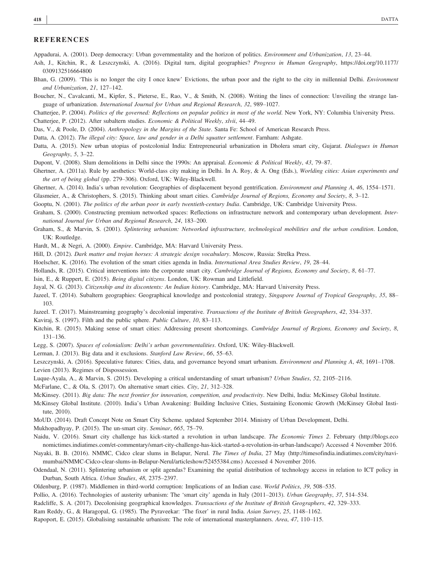#### **REFERENCES**

Appadurai, A. (2001). Deep democracy: Urban governmentality and the horizon of politics. Environment and Urbanization, 13, 23–44.

Ash, J., Kitchin, R., & Leszczynski, A. (2016). Digital turn, digital geographies? Progress in Human Geography, [https://doi.org/10.1177/](https://doi.org/10.1177/0309132516664800) [0309132516664800](https://doi.org/10.1177/0309132516664800)

Bhan, G. (2009). 'This is no longer the city I once knew' Evictions, the urban poor and the right to the city in millennial Delhi. *Environment* and Urbanization, 21, 127–142.

Boucher, N., Cavalcanti, M., Kipfer, S., Pieterse, E., Rao, V., & Smith, N. (2008). Writing the lines of connection: Unveiling the strange language of urbanization. International Journal for Urban and Regional Research, 32, 989–1027.

Chatterjee, P. (2004). Politics of the governed: Reflections on popular politics in most of the world. New York, NY: Columbia University Press.

Chatterjee, P. (2012). After subaltern studies. Economic & Political Weekly, xlvii, 44–49.

Das, V., & Poole, D. (2004). Anthropology in the Margins of the State. Santa Fe: School of American Research Press.

Datta, A. (2012). The illegal city: Space, law and gender in a Delhi squatter settlement. Farnham: Ashgate.

Datta, A. (2015). New urban utopias of postcolonial India: Entrepreneurial urbanization in Dholera smart city, Gujarat. Dialogues in Human Geography, 5, 3–22.

Dupont, V. (2008). Slum demolitions in Delhi since the 1990s: An appraisal. Economic & Political Weekly, 43, 79–87.

Ghertner, A. (2011a). Rule by aesthetics: World-class city making in Delhi. In A. Roy, & A. Ong (Eds.), Worlding cities: Asian experiments and the art of being global (pp. 279–306). Oxford, UK: Wiley-Blackwell.

Ghertner, A. (2014). India's urban revolution: Geographies of displacement beyond gentrification. Environment and Planning A, 46, 1554–1571.

Glasmeier, A., & Christophers, S. (2015). Thinking about smart cities. Cambridge Journal of Regions, Economy and Society, 8, 3–12.

Gooptu, N. (2001). The politics of the urban poor in early twentieth-century India. Cambridge, UK: Cambridge University Press.

- Graham, S. (2000). Constructing premium networked spaces: Reflections on infrastructure network and contemporary urban development. International Journal for Urban and Regional Research, 24, 183–200.
- Graham, S., & Marvin, S. (2001). Splintering urbanism: Networked infrastructure, technological mobilities and the urban condition. London, UK: Routledge.

Hardt, M., & Negri, A. (2000). Empire. Cambridge, MA: Harvard University Press.

Hill, D. (2012). Dark matter and trojan horses: A strategic design vocabulary. Moscow, Russia: Strelka Press.

Hoelscher, K. (2016). The evolution of the smart cities agenda in India. International Area Studies Review, 19, 28–44.

Hollands, R. (2015). Critical interventions into the corporate smart city. Cambridge Journal of Regions, Economy and Society, 8, 61–77.

Isin, E., & Ruppert, E. (2015). Being digital citizens. London, UK: Rowman and Littlefield.

Jayal, N. G. (2013). Citizenship and its discontents: An Indian history. Cambridge, MA: Harvard University Press.

Jazeel, T. (2014). Subaltern geographies: Geographical knowledge and postcolonial strategy, Singapore Journal of Tropical Geography, 35, 88– 103.

Jazeel. T. (2017). Mainstreaming geography's decolonial imperative. Transactions of the Institute of British Geographers, 42, 334–337.

Kaviraj, S. (1997). Filth and the public sphere. Public Culture, 10, 83–113.

Kitchin, R. (2015). Making sense of smart cities: Addressing present shortcomings. Cambridge Journal of Regions, Economy and Society, 8, 131–136.

Legg, S. (2007). Spaces of colonialism: Delhi's urban governmentalities. Oxford, UK: Wiley-Blackwell.

Lerman, J. (2013). Big data and it exclusions. Stanford Law Review, 66, 55–63.

Leszczynski, A. (2016). Speculative futures: Cities, data, and governance beyond smart urbanism. Environment and Planning A, 48, 1691–1708. Levien (2013). Regimes of Dispossession.

Luque-Ayala, A., & Marvin, S. (2015). Developing a critical understanding of smart urbanism? Urban Studies, 52, 2105–2116.

McFarlane, C., & Ola, S. (2017). On alternative smart cities. City, 21, 312–328.

McKinsey. (2011). Big data: The next frontier for innovation, competition, and productivity. New Delhi, India: McKinsey Global Institute.

McKinsey Global Institute. (2010). India's Urban Awakening: Building Inclusive Cities, Sustaining Economic Growth (McKinsey Global Institute, 2010).

MoUD. (2014). Draft Concept Note on Smart City Scheme. updated September 2014. Ministry of Urban Development, Delhi.

Mukhopadhyay, P. (2015). The un-smart city. Seminar, 665, 75–79.

Naidu, V. (2016). Smart city challenge has kick-started a revolution in urban landscape. The Economic Times 2. February ([http://blogs.eco](http://blogs.economictimes.indiatimes.com/et-commentary/smart-city-challenge-has-kick-started-a-revolution-in-urban-landscape/) [nomictimes.indiatimes.com/et-commentary/smart-city-challenge-has-kick-started-a-revolution-in-urban-landscape/\)](http://blogs.economictimes.indiatimes.com/et-commentary/smart-city-challenge-has-kick-started-a-revolution-in-urban-landscape/) Accessed 4 November 2016.

Nayaki, B. B. (2016). NMMC, Cidco clear slums in Belapur, Nerul. The Times of India, 27 May ([http://timesofindia.indiatimes.com/city/navi](http://timesofindia.indiatimes.com/city/navi-mumbai/NMMC-Cidco-clear-slums-in-Belapur-Nerul/articleshow/52455384.cms)[mumbai/NMMC-Cidco-clear-slums-in-Belapur-Nerul/articleshow/52455384.cms\)](http://timesofindia.indiatimes.com/city/navi-mumbai/NMMC-Cidco-clear-slums-in-Belapur-Nerul/articleshow/52455384.cms) Accessed 4 November 2016.

- Odendaal, N. (2011). Splintering urbanism or split agendas? Examining the spatial distribution of technology access in relation to ICT policy in Durban, South Africa. Urban Studies, 48, 2375–2397.
- Oldenburg, P. (1987). Middlemen in third-world corruption: Implications of an Indian case. World Politics, 39, 508–535.
- Pollio, A. (2016). Technologies of austerity urbanism: The 'smart city' agenda in Italy (2011–2013). Urban Geography, 37, 514–534.
- Radcliffe, S. A. (2017). Decolonising geographical knowledges. Transactions of the Institute of British Geographers, 42, 329–333.

Ram Reddy, G., & Haragopal, G. (1985). The Pyraveekar: 'The fixer' in rural India. Asian Survey, 25, 1148–1162.

Rapoport, E. (2015). Globalising sustainable urbanism: The role of international masterplanners. Area, 47, 110–115.